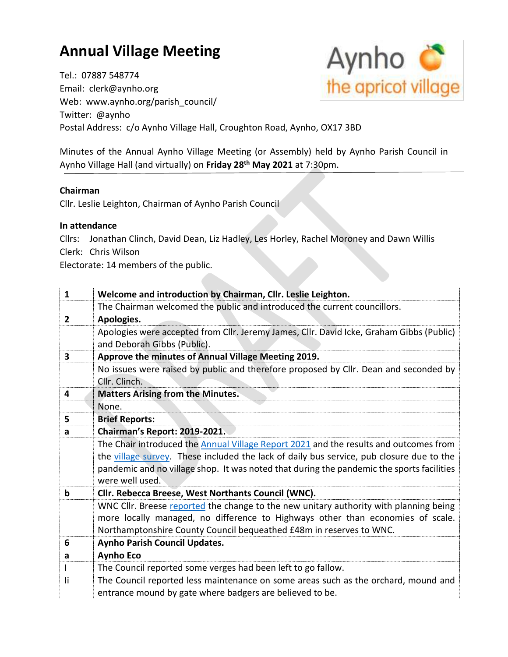## **Annual Village Meeting**

Aynho<sup>3</sup> the apricot village

Email: clerk@aynho.org Web: www.aynho.org/parish\_council/ Twitter: @aynho Postal Address: c/o Aynho Village Hall, Croughton Road, Aynho, OX17 3BD

Minutes of the Annual Aynho Village Meeting (or Assembly) held by Aynho Parish Council in Aynho Village Hall (and virtually) on **Friday 28th May 2021** at 7:30pm.

## **Chairman**

Cllr. Leslie Leighton, Chairman of Aynho Parish Council

## **In attendance**

Tel.: 07887 548774

Cllrs: Jonathan Clinch, David Dean, Liz Hadley, Les Horley, Rachel Moroney and Dawn Willis Clerk: Chris Wilson

Electorate: 14 members of the public.

| $\mathbf{1}$   | Welcome and introduction by Chairman, Cllr. Leslie Leighton.                              |
|----------------|-------------------------------------------------------------------------------------------|
|                | The Chairman welcomed the public and introduced the current councillors.                  |
| $\overline{2}$ | Apologies.                                                                                |
|                | Apologies were accepted from Cllr. Jeremy James, Cllr. David Icke, Graham Gibbs (Public)  |
|                | and Deborah Gibbs (Public).                                                               |
| 3              | Approve the minutes of Annual Village Meeting 2019.                                       |
|                | No issues were raised by public and therefore proposed by Cllr. Dean and seconded by      |
|                | Cllr. Clinch.                                                                             |
| 4              | <b>Matters Arising from the Minutes.</b>                                                  |
|                | None.                                                                                     |
| 5              | <b>Brief Reports:</b>                                                                     |
| a              | Chairman's Report: 2019-2021.                                                             |
|                | The Chair introduced the Annual Village Report 2021 and the results and outcomes from     |
|                | the village survey. These included the lack of daily bus service, pub closure due to the  |
|                | pandemic and no village shop. It was noted that during the pandemic the sports facilities |
|                | were well used.                                                                           |
| $\mathbf b$    | Cllr. Rebecca Breese, West Northants Council (WNC).                                       |
|                | WNC Cllr. Breese reported the change to the new unitary authority with planning being     |
|                | more locally managed, no difference to Highways other than economies of scale.            |
|                | Northamptonshire County Council bequeathed £48m in reserves to WNC.                       |
| 6              | <b>Aynho Parish Council Updates.</b>                                                      |
| a              | <b>Aynho Eco</b>                                                                          |
|                | The Council reported some verges had been left to go fallow.                              |
| li             | The Council reported less maintenance on some areas such as the orchard, mound and        |
|                | entrance mound by gate where badgers are believed to be.                                  |